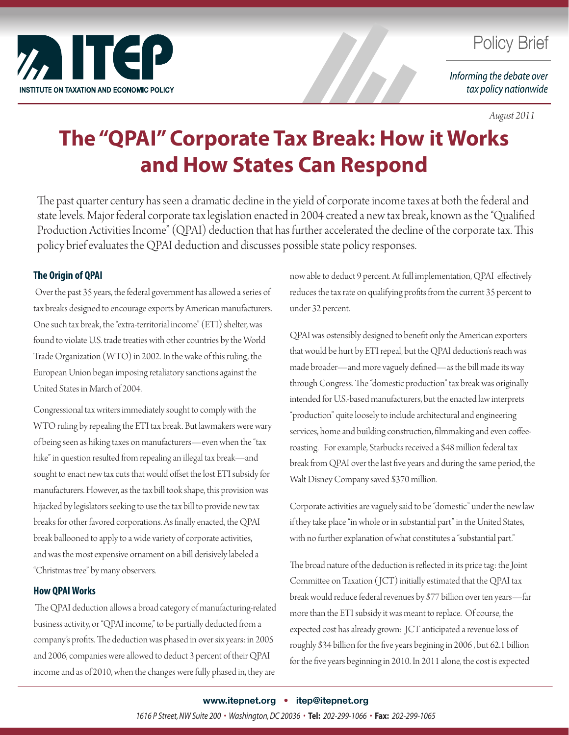

# **Policy Brief**

Informing the debate over tax policy nationwide

#### *August 2011*

# **The "QPAI" Corporate Tax Break: How it Works and How States Can Respond**

The past quarter century has seen a dramatic decline in the yield of corporate income taxes at both the federal and state levels. Major federal corporate tax legislation enacted in 2004 created a new tax break, known as the "Qualified Production Activities Income" (QPAI) deduction that has further accelerated the decline of the corporate tax. This policy brief evaluates the QPAI deduction and discusses possible state policy responses.

## **The Origin of QPAI**

 Over the past 35 years, the federal government has allowed a series of tax breaks designed to encourage exports by American manufacturers. One such tax break, the "extra-territorial income" (ETI) shelter, was found to violate U.S. trade treaties with other countries by the World Trade Organization (WTO) in 2002. In the wake of this ruling, the European Union began imposing retaliatory sanctions against the United States in March of 2004.

Congressional tax writers immediately sought to comply with the WTO ruling by repealing the ETI tax break. But lawmakers were wary of being seen as hiking taxes on manufacturers—even when the "tax hike" in question resulted from repealing an illegal tax break—and sought to enact new tax cuts that would offset the lost ETI subsidy for manufacturers. However, as the tax bill took shape, this provision was hijacked by legislators seeking to use the tax bill to provide new tax breaks for other favored corporations. As finally enacted, the QPAI break ballooned to apply to a wide variety of corporate activities, and was the most expensive ornament on a bill derisively labeled a "Christmas tree" by many observers.

## **How QPAI Works**

 The QPAI deduction allows a broad category of manufacturing-related business activity, or "QPAI income," to be partially deducted from a company's profits. The deduction was phased in over six years: in 2005 and 2006, companies were allowed to deduct 3 percent of their QPAI income and as of 2010, when the changes were fully phased in, they are

now able to deduct 9 percent. At full implementation, QPAI effectively reduces the tax rate on qualifying profits from the current 35 percent to under 32 percent.

QPAI was ostensibly designed to benefit only the American exporters that would be hurt by ETI repeal, but the QPAI deduction's reach was made broader—and more vaguely defined—as the bill made its way through Congress. The "domestic production" tax break was originally intended for U.S.-based manufacturers, but the enacted law interprets "production" quite loosely to include architectural and engineering services, home and building construction, filmmaking and even coffeeroasting. For example, Starbucks received a \$48 million federal tax break from QPAI over the last five years and during the same period, the Walt Disney Company saved \$370 million.

Corporate activities are vaguely said to be "domestic" under the new law if they take place "in whole or in substantial part" in the United States, with no further explanation of what constitutes a "substantial part."

The broad nature of the deduction is reflected in its price tag: the Joint Committee on Taxation ( JCT) initially estimated that the QPAI tax break would reduce federal revenues by \$77 billion over ten years—far more than the ETI subsidy it was meant to replace. Of course, the expected cost has already grown: JCT anticipated a revenue loss of roughly \$34 billion for the five years begining in 2006 , but 62.1 billion for the five years beginning in 2010. In 2011 alone, the cost is expected